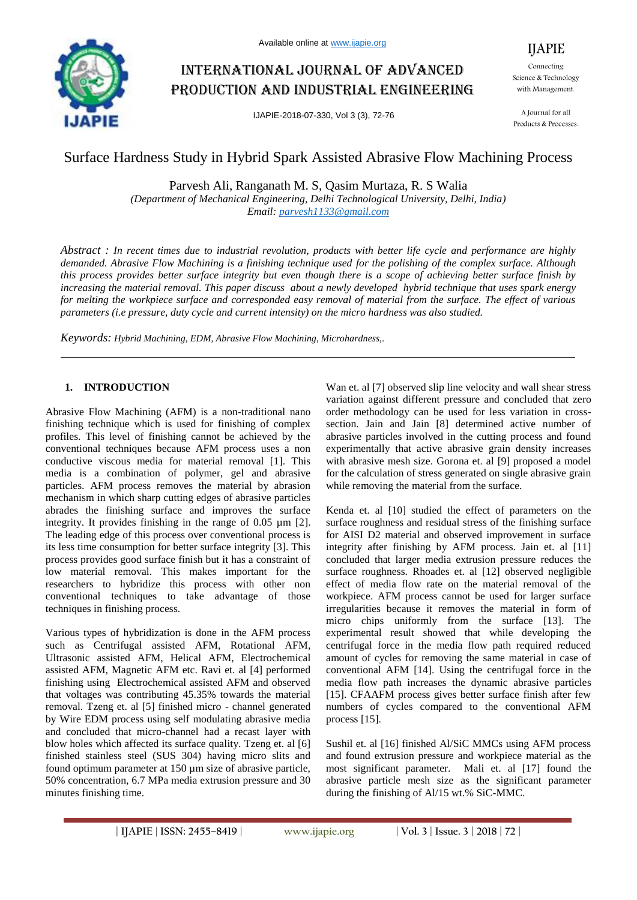

# International journal of advanced production and industrial engineering

IJAPIE-2018-07-330, Vol 3 (3), 72-76

IJAPIE Connecting Science & Technology with Management.

A Journal for all Products & Processes.

# Surface Hardness Study in Hybrid Spark Assisted Abrasive Flow Machining Process

Parvesh Ali, Ranganath M. S, Qasim Murtaza, R. S Walia

*(Department of Mechanical Engineering, Delhi Technological University, Delhi, India) Email: parvesh1133@gmail.com*

*Abstract : In recent times due to industrial revolution, products with better life cycle and performance are highly demanded. Abrasive Flow Machining is a finishing technique used for the polishing of the complex surface. Although this process provides better surface integrity but even though there is a scope of achieving better surface finish by increasing the material removal. This paper discuss about a newly developed hybrid technique that uses spark energy for melting the workpiece surface and corresponded easy removal of material from the surface. The effect of various parameters (i.e pressure, duty cycle and current intensity) on the micro hardness was also studied.*

*Keywords: Hybrid Machining, EDM, Abrasive Flow Machining, Microhardness,.*

# **1. INTRODUCTION**

Abrasive Flow Machining (AFM) is a non-traditional nano finishing technique which is used for finishing of complex profiles. This level of finishing cannot be achieved by the conventional techniques because AFM process uses a non conductive viscous media for material removal [1]. This media is a combination of polymer, gel and abrasive particles. AFM process removes the material by abrasion mechanism in which sharp cutting edges of abrasive particles abrades the finishing surface and improves the surface integrity. It provides finishing in the range of 0.05 µm [2]. The leading edge of this process over conventional process is its less time consumption for better surface integrity [3]. This process provides good surface finish but it has a constraint of low material removal. This makes important for the researchers to hybridize this process with other non conventional techniques to take advantage of those techniques in finishing process.

Various types of hybridization is done in the AFM process such as Centrifugal assisted AFM, Rotational AFM, Ultrasonic assisted AFM, Helical AFM, Electrochemical assisted AFM, Magnetic AFM etc. Ravi et. al [4] performed finishing using Electrochemical assisted AFM and observed that voltages was contributing 45.35% towards the material removal. Tzeng et. al [5] finished micro - channel generated by Wire EDM process using self modulating abrasive media and concluded that micro-channel had a recast layer with blow holes which affected its surface quality. Tzeng et. al [6] finished stainless steel (SUS 304) having micro slits and found optimum parameter at 150 µm size of abrasive particle, 50% concentration, 6.7 MPa media extrusion pressure and 30 minutes finishing time.

Wan et. al [7] observed slip line velocity and wall shear stress variation against different pressure and concluded that zero order methodology can be used for less variation in crosssection. Jain and Jain [8] determined active number of abrasive particles involved in the cutting process and found experimentally that active abrasive grain density increases with abrasive mesh size. Gorona et. al [9] proposed a model for the calculation of stress generated on single abrasive grain while removing the material from the surface.

Kenda et. al [10] studied the effect of parameters on the surface roughness and residual stress of the finishing surface for AISI D2 material and observed improvement in surface integrity after finishing by AFM process. Jain et. al [11] concluded that larger media extrusion pressure reduces the surface roughness. Rhoades et. al [12] observed negligible effect of media flow rate on the material removal of the workpiece. AFM process cannot be used for larger surface irregularities because it removes the material in form of micro chips uniformly from the surface [13]. The experimental result showed that while developing the centrifugal force in the media flow path required reduced amount of cycles for removing the same material in case of conventional AFM [14]. Using the centrifugal force in the media flow path increases the dynamic abrasive particles [15]. CFAAFM process gives better surface finish after few numbers of cycles compared to the conventional AFM process [15].

Sushil et. al [16] finished Al/SiC MMCs using AFM process and found extrusion pressure and workpiece material as the most significant parameter. Mali et. al [17] found the abrasive particle mesh size as the significant parameter during the finishing of Al/15 wt.% SiC-MMC.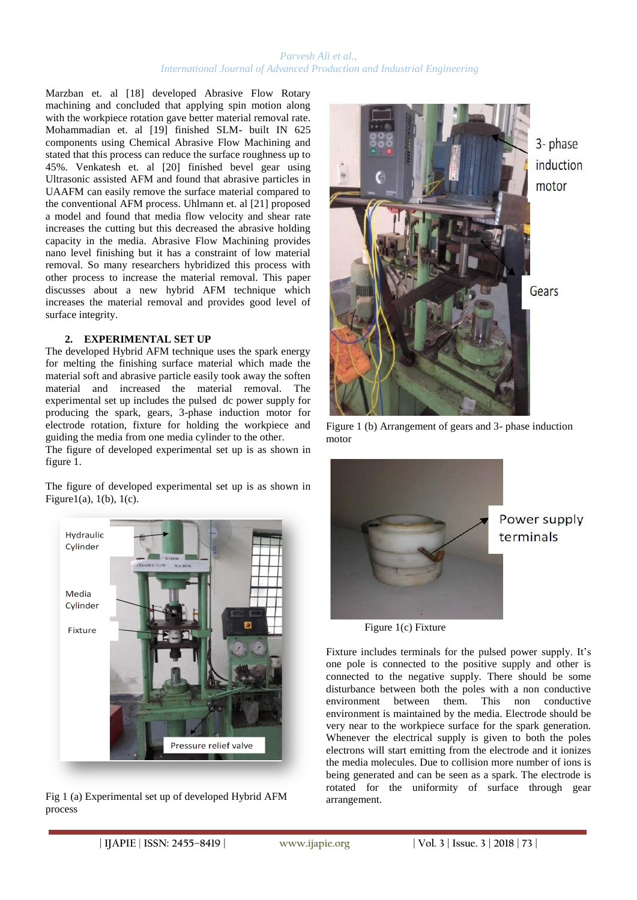#### *Parvesh Ali et al., International Journal of Advanced Production and Industrial Engineering*

Marzban et. al [18] developed Abrasive Flow Rotary machining and concluded that applying spin motion along with the workpiece rotation gave better material removal rate. Mohammadian et. al [19] finished SLM- built IN 625 components using Chemical Abrasive Flow Machining and stated that this process can reduce the surface roughness up to 45%. Venkatesh et. al [20] finished bevel gear using Ultrasonic assisted AFM and found that abrasive particles in UAAFM can easily remove the surface material compared to the conventional AFM process. Uhlmann et. al [21] proposed a model and found that media flow velocity and shear rate increases the cutting but this decreased the abrasive holding capacity in the media. Abrasive Flow Machining provides nano level finishing but it has a constraint of low material removal. So many researchers hybridized this process with other process to increase the material removal. This paper discusses about a new hybrid AFM technique which increases the material removal and provides good level of surface integrity.

# **2. EXPERIMENTAL SET UP**

The developed Hybrid AFM technique uses the spark energy for melting the finishing surface material which made the material soft and abrasive particle easily took away the soften material and increased the material removal. The experimental set up includes the pulsed dc power supply for producing the spark, gears, 3-phase induction motor for electrode rotation, fixture for holding the workpiece and guiding the media from one media cylinder to the other.

The figure of developed experimental set up is as shown in figure 1.

The figure of developed experimental set up is as shown in Figure1(a),  $1(b)$ ,  $1(c)$ .



Fig 1 (a) Experimental set up of developed Hybrid AFM process



Figure 1 (b) Arrangement of gears and 3- phase induction motor



Figure 1(c) Fixture

Fixture includes terminals for the pulsed power supply. It's one pole is connected to the positive supply and other is connected to the negative supply. There should be some disturbance between both the poles with a non conductive environment between them. This non conductive environment is maintained by the media. Electrode should be very near to the workpiece surface for the spark generation. Whenever the electrical supply is given to both the poles electrons will start emitting from the electrode and it ionizes the media molecules. Due to collision more number of ions is being generated and can be seen as a spark. The electrode is rotated for the uniformity of surface through gear arrangement.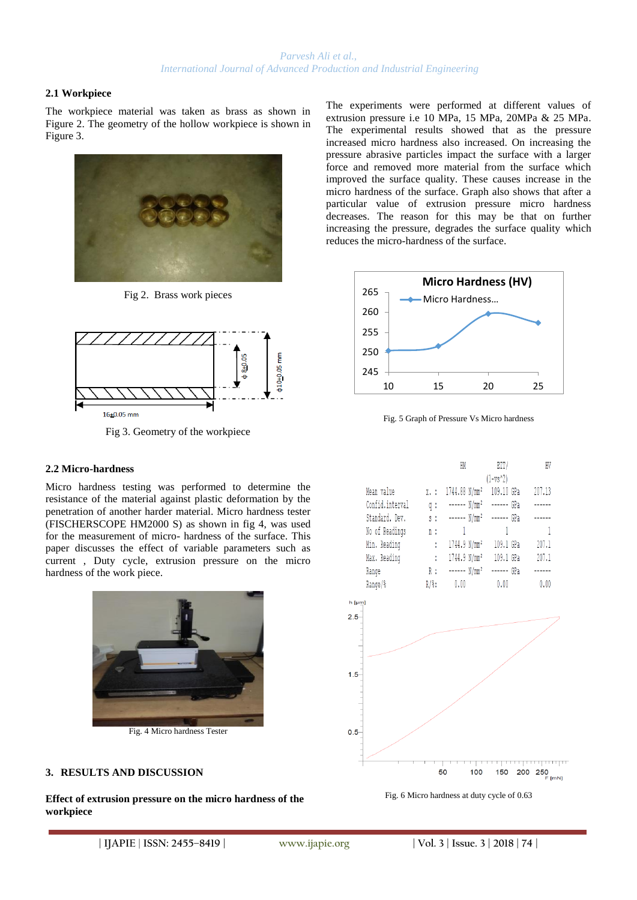# **2.1 Workpiece**

The workpiece material was taken as brass as shown in Figure 2. The geometry of the hollow workpiece is shown in Figure 3.



Fig 2. Brass work pieces



Fig 3. Geometry of the workpiece

# **2.2 Micro-hardness**

Micro hardness testing was performed to determine the resistance of the material against plastic deformation by the penetration of another harder material. Micro hardness tester (FISCHERSCOPE HM2000 S) as shown in fig 4, was used for the measurement of micro- hardness of the surface. This paper discusses the effect of variable parameters such as current , Duty cycle, extrusion pressure on the micro hardness of the work piece.



## **3. RESULTS AND DISCUSSION**

**Effect of extrusion pressure on the micro hardness of the workpiece**

The experiments were performed at different values of extrusion pressure i.e 10 MPa, 15 MPa, 20MPa & 25 MPa. The experimental results showed that as the pressure increased micro hardness also increased. On increasing the pressure abrasive particles impact the surface with a larger force and removed more material from the surface which improved the surface quality. These causes increase in the micro hardness of the surface. Graph also shows that after a particular value of extrusion pressure micro hardness decreases. The reason for this may be that on further increasing the pressure, degrades the surface quality which reduces the micro-hardness of the surface.

![](_page_2_Figure_13.jpeg)

Fig. 5 Graph of Pressure Vs Micro hardness

|                 |    | HM           | EIT/                                     | HV     |
|-----------------|----|--------------|------------------------------------------|--------|
|                 |    |              | $(1 - vs^2)$                             |        |
| Mean value      |    |              | x.: 1744.88 N/mm <sup>2</sup> 109.10 GPa | 207.13 |
| Confid.interval | q: |              | ------ N/mm <sup>2</sup> ------ GPa      |        |
| Standard. Dev.  |    |              | s : ------ N/mm <sup>2</sup> ------ GPa  | ------ |
| No of Readings  | n: | $\mathbf{1}$ | $\frac{1}{2}$                            |        |
| Min. Reading    |    |              | : 1744.9 N/mm <sup>2</sup> 109.1 GPa     | 207.1  |
| Max. Reading    | ÷. |              | 1744.9 N/mm <sup>2</sup> 109.1 GPa       | 207.1  |
| Range           |    |              | R : ------ N/mm <sup>2</sup> ------ GPa  |        |
| Range/%         |    | $R/\$ : 0.00 | 0.00                                     | 0.00   |

![](_page_2_Figure_16.jpeg)

![](_page_2_Figure_17.jpeg)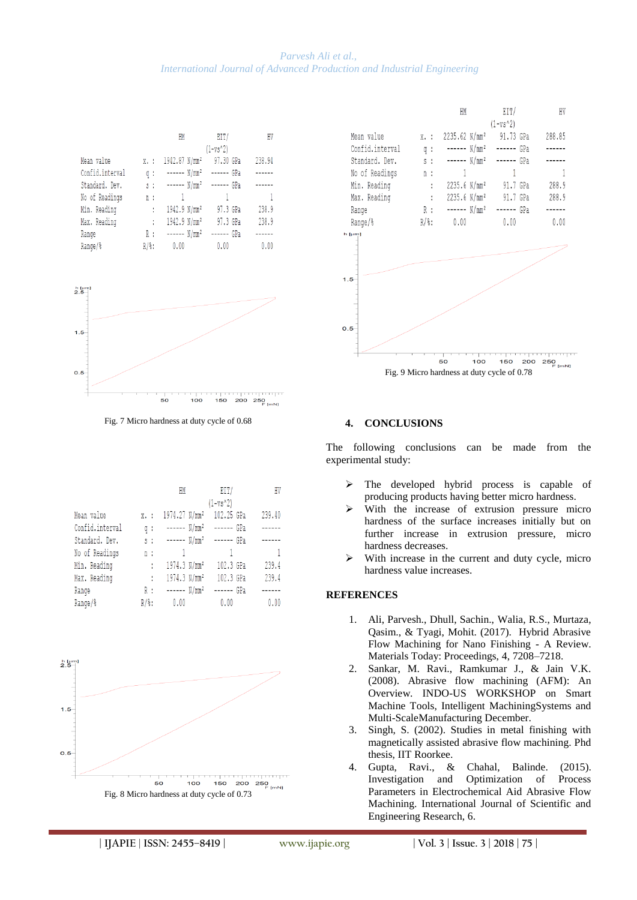## *Parvesh Ali et al., International Journal of Advanced Production and Industrial Engineering*

|                 |                   | HM                                  | EIT/                                | HV     |
|-----------------|-------------------|-------------------------------------|-------------------------------------|--------|
|                 |                   |                                     | $(1 - vs^2)$                        |        |
| Mean value      | $X - 1$           | 1942.87 N/mm <sup>2</sup>           | 97.30 GPa                           | 238.94 |
| Confid.interval | q:                |                                     | ------ N/mm <sup>2</sup> ------ GPa |        |
| Standard. Dev.  | $S$ :             | ------ N/mm <sup>2</sup> ------ GPa |                                     |        |
| No of Readings  | n :               |                                     | $\mathbf{1}$                        | - 1    |
| Min. Reading    |                   | 1942.9 N/mm <sup>2</sup>            | 97.3 GPa                            | 238.9  |
| Max. Reading    | t                 | 1942.9 N/mm <sup>2</sup>            | 97.3 GPa                            | 238.9  |
| Range           | R :               | ------ N/mm <sup>2</sup>            | ------ GPa                          |        |
| Range/%         | $R/\frac{3}{3}$ : | 0.00                                | 0.00                                | 0.00   |

![](_page_3_Figure_2.jpeg)

Fig. 7 Micro hardness at duty cycle of 0.68

|                 |                   | HM                                  | EIT/       | HV     |
|-----------------|-------------------|-------------------------------------|------------|--------|
|                 |                   |                                     | (1-vs^2)   |        |
| Mean value      | X. :              | 1974.27 N/mm <sup>2</sup>           | 102.25 GPa | 239.40 |
| Confid.interval | q:                | ------ N/mm <sup>2</sup>            | ------ GPa |        |
| Standard. Dev.  | $S$ :             | ------ N/mm <sup>2</sup> ------ GPa |            |        |
| No of Readings  | n:                |                                     | -1         |        |
| Min. Reading    | ÷                 | 1974.3 N/mm <sup>2</sup>            | 102.3 GPa  | 239.4  |
| Max. Reading    | t                 | 1974.3 N/mm <sup>2</sup>            | 102.3 GPa  | 239.4  |
| Range           | R:                | ------ N/mm <sup>2</sup>            | ------ GPa | ------ |
| Range/%         | $R/\frac{6}{9}$ : | 0.00                                | 0.00       | 0.00   |

![](_page_3_Figure_5.jpeg)

![](_page_3_Figure_6.jpeg)

## **4. CONCLUSIONS**

The following conclusions can be made from the experimental study:

- $\triangleright$  The developed hybrid process is capable of producing products having better micro hardness.
- $\triangleright$  With the increase of extrusion pressure micro hardness of the surface increases initially but on further increase in extrusion pressure, micro hardness decreases.
- With increase in the current and duty cycle, micro hardness value increases.

## **REFERENCES**

- 1. Ali, Parvesh., Dhull, Sachin., Walia, R.S., Murtaza, Qasim., & Tyagi, Mohit. (2017). Hybrid Abrasive Flow Machining for Nano Finishing - A Review. Materials Today: Proceedings, 4, 7208–7218.
- 2. Sankar, M. Ravi., Ramkumar J., & Jain V.K. (2008). Abrasive flow machining (AFM): An Overview. INDO-US WORKSHOP on Smart Machine Tools, Intelligent MachiningSystems and Multi-ScaleManufacturing December.
- 3. Singh, S. (2002). Studies in metal finishing with magnetically assisted abrasive flow machining. Phd thesis, IIT Roorkee.
- 4. Gupta, Ravi., & Chahal, Balinde. (2015). Investigation and Optimization of Process Parameters in Electrochemical Aid Abrasive Flow Machining. International Journal of Scientific and Engineering Research, 6.